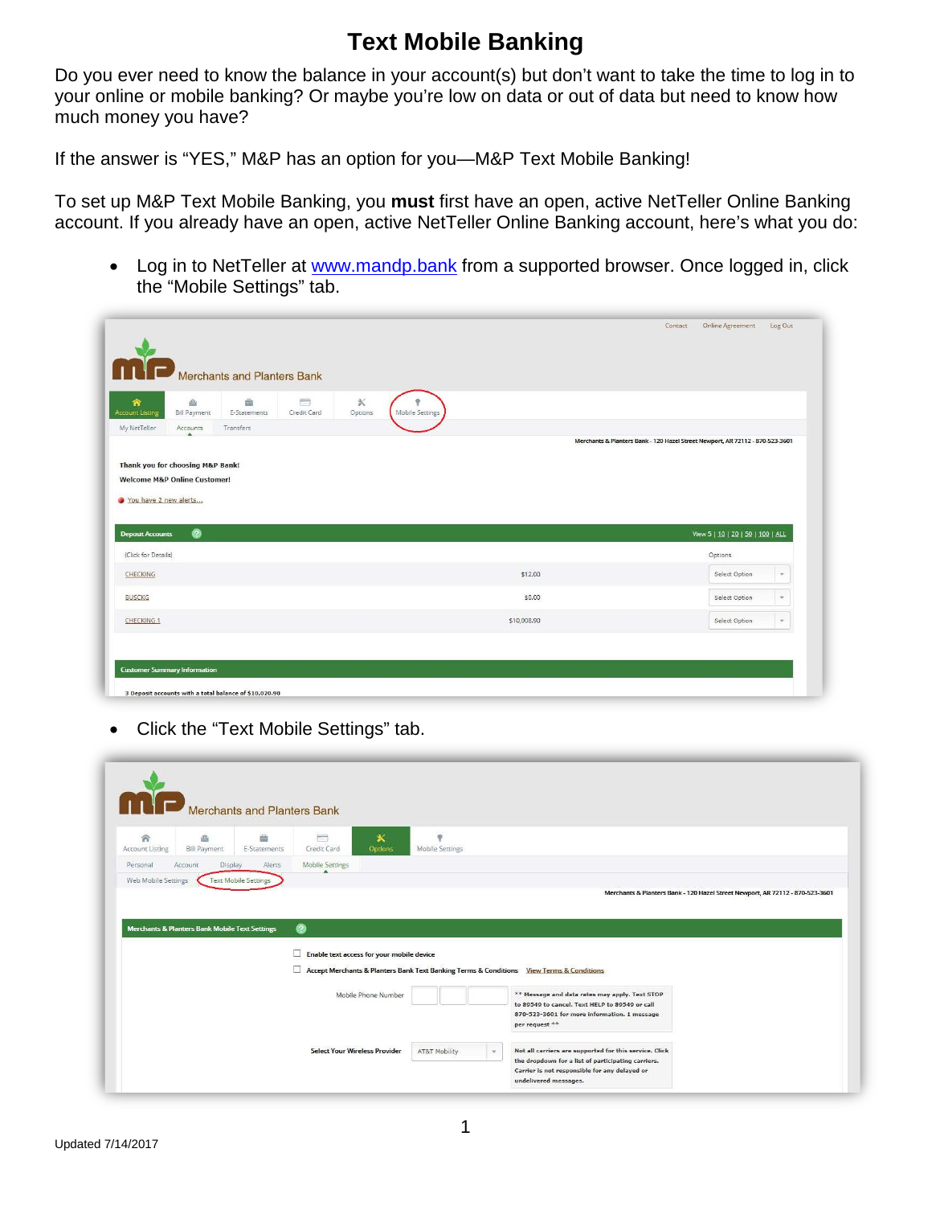## **Text Mobile Banking**

Do you ever need to know the balance in your account(s) but don't want to take the time to log in to your online or mobile banking? Or maybe you're low on data or out of data but need to know how much money you have?

If the answer is "YES," M&P has an option for you—M&P Text Mobile Banking!

To set up M&P Text Mobile Banking, you **must** first have an open, active NetTeller Online Banking account. If you already have an open, active NetTeller Online Banking account, here's what you do:

• Log in to NetTeller at [www.mandp.bank](http://www.mandp.bank/) from a supported browser. Once logged in, click the "Mobile Settings" tab.

|                                                                                                                                   |                 | Online Agreement<br>Log Out<br>Contact |
|-----------------------------------------------------------------------------------------------------------------------------------|-----------------|----------------------------------------|
| Merchants and Planters Bank                                                                                                       |                 |                                        |
| 画<br>$\mathbb X$<br>$\equiv$<br>画<br>合<br><b>Account Listing</b><br><b>Bill Payment</b><br>E-Statements<br>Credit Card<br>Options | Mobile Settings |                                        |
| My NetTeller<br>Transfers<br>Accounts                                                                                             |                 |                                        |
| You have 2 new alerts<br>$\bullet$<br><b>Deposit Accounts</b>                                                                     |                 |                                        |
|                                                                                                                                   |                 | View 5   10   20   50   100   ALL      |
|                                                                                                                                   |                 | Options                                |
|                                                                                                                                   | \$12.00         | Select Option<br>$\pi$                 |
|                                                                                                                                   | \$0.00          | Select Option<br>$\mathbf{v}$          |
| (Click for Details)<br>CHECKING<br><b>BUSCKG</b><br>CHECKING 1                                                                    | \$10,008.90     | Select Option<br>$\sim$                |

• Click the "Text Mobile Settings" tab.

|                             | Merchants and Planters Bank                               |                   |                                                                         |                     |                                        |                                                                                                                                                                    |  |
|-----------------------------|-----------------------------------------------------------|-------------------|-------------------------------------------------------------------------|---------------------|----------------------------------------|--------------------------------------------------------------------------------------------------------------------------------------------------------------------|--|
| 合<br><b>Account Listing</b> | 画<br><b>Bill Payment</b>                                  | 繭<br>E-Statements | $\qquad \qquad \blacksquare$<br>Credit Card                             | 氷<br><b>Options</b> | $\mathcal Q$<br><b>Mobile Settings</b> |                                                                                                                                                                    |  |
| Personal                    | Account<br>Display                                        | Alerts            | <b>Mobile Settings</b>                                                  |                     |                                        |                                                                                                                                                                    |  |
|                             |                                                           |                   |                                                                         |                     |                                        |                                                                                                                                                                    |  |
|                             | <b>Merchants &amp; Planters Bank Mobile Text Settings</b> |                   | $\boldsymbol{\Omega}$<br>Enable text access for your mobile device<br>п |                     |                                        | Accept Merchants & Planters Bank Text Banking Terms & Conditions View Terms & Conditions                                                                           |  |
|                             |                                                           |                   |                                                                         | Mobile Phone Number |                                        | ** Message and data rates may apply. Text STOP<br>to 89549 to cancel. Text HELP to 89549 or call<br>870-523-3601 for more information. 1 message<br>per request ** |  |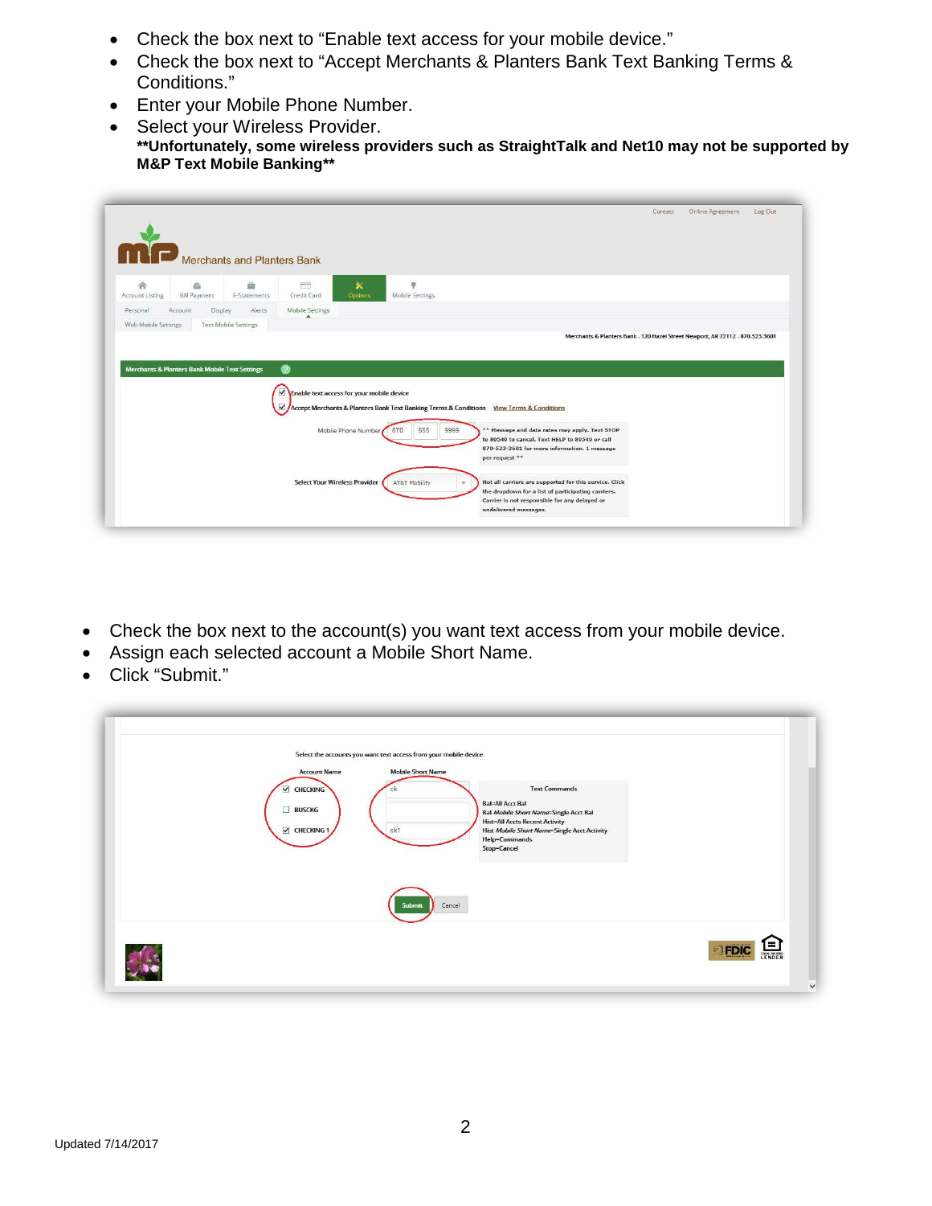- Check the box next to "Enable text access for your mobile device."
- Check the box next to "Accept Merchants & Planters Bank Text Banking Terms & Conditions."
- Enter your Mobile Phone Number.
- Select your Wireless Provider. **\*\*Unfortunately, some wireless providers such as StraightTalk and Net10 may not be supported by M&P Text Mobile Banking\*\***

|                      |                          |                                                           |                                                                   |                                      |                                        |                                                                                                     | Contact | Online Agreement | Log Out |
|----------------------|--------------------------|-----------------------------------------------------------|-------------------------------------------------------------------|--------------------------------------|----------------------------------------|-----------------------------------------------------------------------------------------------------|---------|------------------|---------|
|                      |                          |                                                           |                                                                   |                                      |                                        |                                                                                                     |         |                  |         |
|                      |                          |                                                           |                                                                   |                                      |                                        |                                                                                                     |         |                  |         |
|                      |                          | Merchants and Planters Bank                               |                                                                   |                                      |                                        |                                                                                                     |         |                  |         |
| 合<br>Account Listing | 画<br><b>Bill Payment</b> | 曲<br>E-Statements                                         | 后<br>Credit Card                                                  | $\pmb{\times}$<br>Options            | $\ddot{\mathbf{v}}$<br>Mobile Settings |                                                                                                     |         |                  |         |
| Personal             | Account                  | Display<br>Alerts                                         | <b>Mobile Settings</b>                                            |                                      |                                        |                                                                                                     |         |                  |         |
| Web Mobile Settings  |                          | <b>Text Mobile Settings</b>                               |                                                                   |                                      |                                        |                                                                                                     |         |                  |         |
|                      |                          |                                                           |                                                                   |                                      |                                        | Merchants & Planters Bank - 120 Hazel Street Newport, AR 72112 - 870-523-3601                       |         |                  |         |
|                      |                          |                                                           |                                                                   |                                      |                                        |                                                                                                     |         |                  |         |
|                      |                          |                                                           |                                                                   |                                      |                                        |                                                                                                     |         |                  |         |
|                      |                          |                                                           |                                                                   |                                      |                                        |                                                                                                     |         |                  |         |
|                      |                          | <b>Merchants &amp; Planters Bank Mobile Text Settings</b> | ෧                                                                 |                                      |                                        |                                                                                                     |         |                  |         |
|                      |                          |                                                           |                                                                   |                                      |                                        |                                                                                                     |         |                  |         |
|                      |                          |                                                           | $\blacktriangledown$<br>Enable text access for your mobile device |                                      |                                        |                                                                                                     |         |                  |         |
|                      |                          |                                                           | $\checkmark$                                                      |                                      |                                        | Accept Merchants & Planters Bank Text Banking Terms & Conditions View Terms & Conditions            |         |                  |         |
|                      |                          |                                                           |                                                                   |                                      |                                        |                                                                                                     |         |                  |         |
|                      |                          |                                                           |                                                                   | Mobile Phone Number 870              | 555<br>9999                            | ** Message and data rates may apply. Text STOP                                                      |         |                  |         |
|                      |                          |                                                           |                                                                   |                                      |                                        | to 89549 to cancel. Text HELP to 89549 or call<br>870-523-3601 for more information. 1 message      |         |                  |         |
|                      |                          |                                                           |                                                                   |                                      |                                        | per request **                                                                                      |         |                  |         |
|                      |                          |                                                           |                                                                   |                                      |                                        |                                                                                                     |         |                  |         |
|                      |                          |                                                           |                                                                   | <b>Select Your Wireless Provider</b> | AT&T Mobility                          | Not all carriers are supported for this service. Click                                              |         |                  |         |
|                      |                          |                                                           |                                                                   |                                      |                                        | the dropdown for a list of participating carriers.<br>Carrier is not responsible for any delayed or |         |                  |         |
|                      |                          |                                                           |                                                                   |                                      |                                        | undelivered messages.                                                                               |         |                  |         |

- Check the box next to the account(s) you want text access from your mobile device.
- Assign each selected account a Mobile Short Name.
- Click "Submit."

| Select the accounts you want text access from your mobile device<br><b>Account Name</b><br><b>Mobile Short Name</b><br><b>Text Commands</b><br>CHECKING<br><b>Bal=All Acct Bal</b><br><b>BUSCKG</b><br><b>Bal Mobile Short Name=Single Acct Bal</b><br><b>Hist=All Accts Recent Activity</b><br>ck1<br>$\vee$ CHECKING 1<br>Hist Mobile Short Name=Single Acct Activity<br>Help=Commands<br>Stop=Cancel<br>Submit<br>Cancel |                             |
|-----------------------------------------------------------------------------------------------------------------------------------------------------------------------------------------------------------------------------------------------------------------------------------------------------------------------------------------------------------------------------------------------------------------------------|-----------------------------|
|                                                                                                                                                                                                                                                                                                                                                                                                                             | =<br>LENDER<br>$\checkmark$ |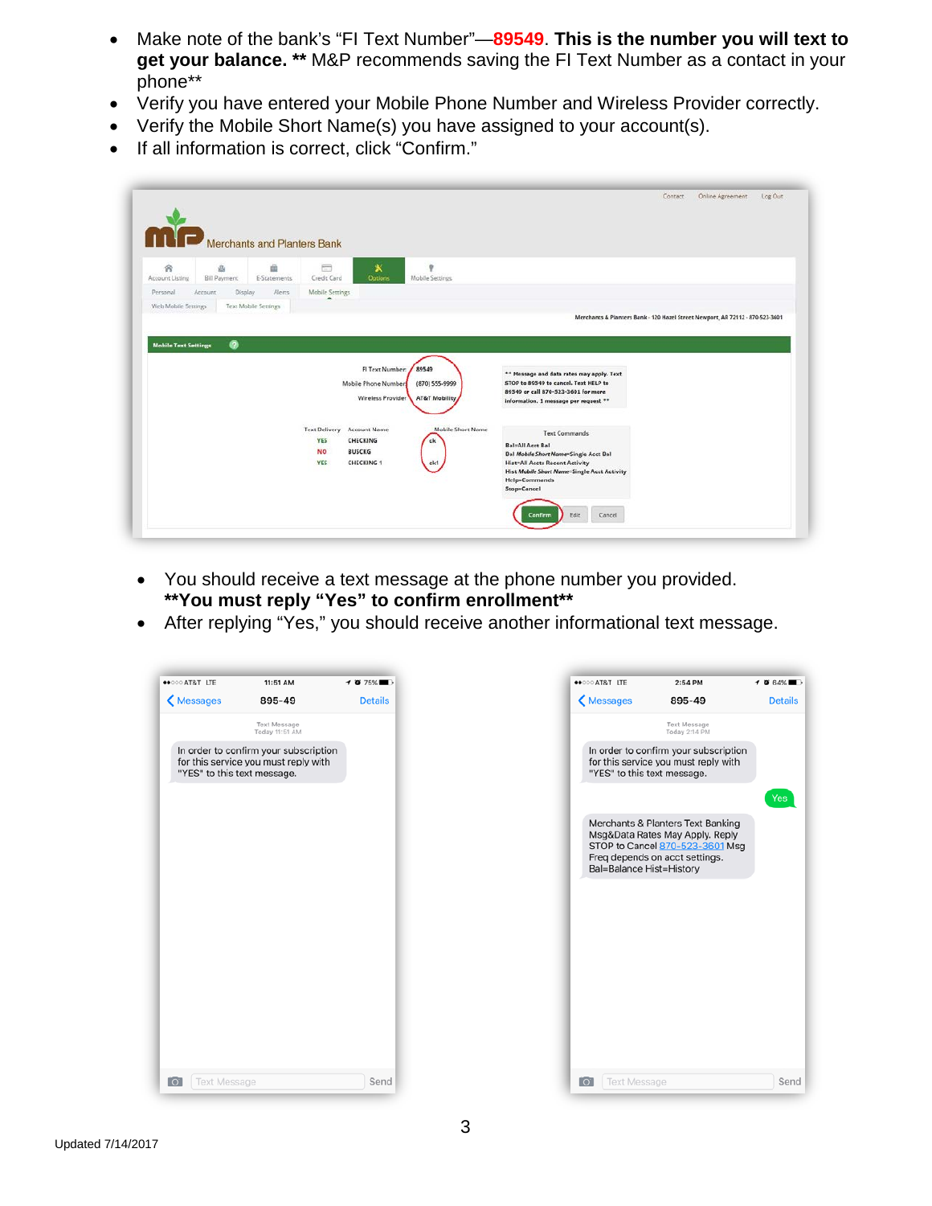- Make note of the bank's "FI Text Number"—**89549**. **This is the number you will text to get your balance. \*\*** M&P recommends saving the FI Text Number as a contact in your phone\*\*
- Verify you have entered your Mobile Phone Number and Wireless Provider correctly.
- Verify the Mobile Short Name(s) you have assigned to your account(s).
- If all information is correct, click "Confirm."

|                             | Merchants and Planters Bank |                             |                         |                                                              |                                                     |                                                                                                                                                                    |  |  |
|-----------------------------|-----------------------------|-----------------------------|-------------------------|--------------------------------------------------------------|-----------------------------------------------------|--------------------------------------------------------------------------------------------------------------------------------------------------------------------|--|--|
| 舍<br>Account Listing        | 凸<br><b>Bill Payment</b>    | ŵ<br>E-Statements           | $\equiv$<br>Credit Card | $\pmb{\times}$<br><b>Options</b>                             | ÷<br>Mobile Settings                                |                                                                                                                                                                    |  |  |
| Personal                    | Account<br>Display          | Alerts                      | Mobile Settings         |                                                              |                                                     |                                                                                                                                                                    |  |  |
| Web Mobile Settings         |                             | <b>Text Mobile Settings</b> |                         |                                                              |                                                     |                                                                                                                                                                    |  |  |
|                             |                             |                             |                         |                                                              |                                                     | Merchants & Planters Bank - 120 Hazel Street Newport, AR 72112 - 870-523-3601                                                                                      |  |  |
|                             |                             |                             |                         |                                                              |                                                     |                                                                                                                                                                    |  |  |
| <b>Mobile Text Settings</b> | $\bullet$                   |                             |                         |                                                              |                                                     |                                                                                                                                                                    |  |  |
|                             |                             |                             |                         | FI Text Number:<br>Mobile Phone Number:<br>Wireless Provider | 89549<br>(870) 555-9999<br><b>AT&amp;T Mobility</b> | ** Message and data rates may apply. Text<br>STOP to 89549 to cancel. Text HELP to<br>89549 or call 870-523-3601 for more<br>information. 1 message per request ** |  |  |

- You should receive a text message at the phone number you provided. **\*\*You must reply "Yes" to confirm enrollment\*\***
- After replying "Yes," you should receive another informational text message.

| ++000 AT&T LTE                   | 11:51 AM                                                                      | $\rightarrow$ 375% | ++000 AT&T LTE                   | 2:54 PM                                                                                                                                                               | $\rightarrow$ 0 64% |
|----------------------------------|-------------------------------------------------------------------------------|--------------------|----------------------------------|-----------------------------------------------------------------------------------------------------------------------------------------------------------------------|---------------------|
| K Messages                       | 895-49                                                                        | <b>Details</b>     | K Messages                       | 895-49                                                                                                                                                                | <b>Details</b>      |
|                                  | <b>Text Message</b><br>Today 11:51 AM                                         |                    |                                  | <b>Text Message</b><br>Today 2:14 PM                                                                                                                                  |                     |
| "YES" to this text message.      | In order to confirm your subscription<br>for this service you must reply with |                    |                                  | In order to confirm your subscription<br>for this service you must reply with<br>"YES" to this text message.                                                          |                     |
|                                  |                                                                               |                    |                                  | Merchants & Planters Text Banking<br>Msg&Data Rates May Apply. Reply<br>STOP to Cancel 870-523-3601 Msg<br>Freq depends on acct settings.<br>Bal=Balance Hist=History | Yes:                |
|                                  |                                                                               |                    |                                  |                                                                                                                                                                       |                     |
|                                  |                                                                               |                    |                                  |                                                                                                                                                                       |                     |
|                                  |                                                                               |                    |                                  |                                                                                                                                                                       |                     |
| <b>Text Message</b><br><b>TO</b> |                                                                               | Send               | <b>Text Message</b><br><b>TO</b> |                                                                                                                                                                       | Send                |